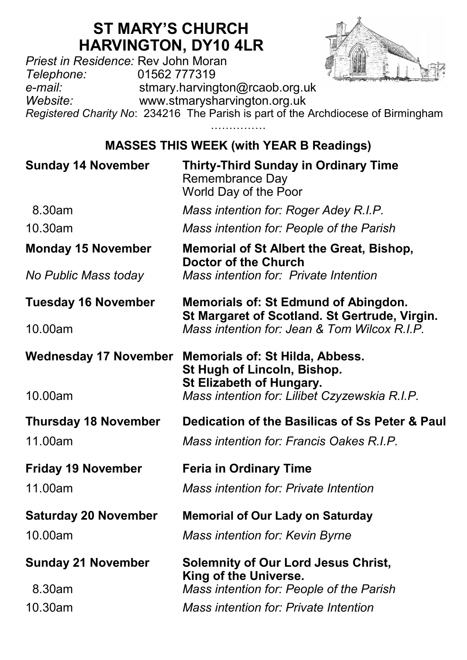## **ST MARY'S CHURCH HARVINGTON, DY10 4LR**

*Priest in Residence:* Rev John Moran *Telephone:* 01562 777319 *e-mail:* stmary.harvington@rcaob.org.uk *Website:* www.stmarysharvington.org.uk

*Registered Charity No*: 234216 The Parish is part of the Archdiocese of Birmingham ……………

## **MASSES THIS WEEK (with YEAR B Readings)**

| <b>Sunday 14 November</b>    | <b>Thirty-Third Sunday in Ordinary Time</b><br>Remembrance Day<br>World Day of the Poor                                               |  |
|------------------------------|---------------------------------------------------------------------------------------------------------------------------------------|--|
| 8.30am                       | Mass intention for: Roger Adey R.I.P.                                                                                                 |  |
| 10.30am                      | Mass intention for: People of the Parish                                                                                              |  |
| <b>Monday 15 November</b>    | Memorial of St Albert the Great, Bishop,<br><b>Doctor of the Church</b><br>Mass intention for: Private Intention                      |  |
| No Public Mass today         |                                                                                                                                       |  |
| <b>Tuesday 16 November</b>   | Memorials of: St Edmund of Abingdon.<br>St Margaret of Scotland. St Gertrude, Virgin.<br>Mass intention for: Jean & Tom Wilcox R.I.P. |  |
| 10.00am                      |                                                                                                                                       |  |
| <b>Wednesday 17 November</b> | Memorials of: St Hilda, Abbess.<br>St Hugh of Lincoln, Bishop.<br>St Elizabeth of Hungary.                                            |  |
| 10.00am                      | Mass intention for: Lilibet Czyzewskia R.I.P.                                                                                         |  |
| <b>Thursday 18 November</b>  | Dedication of the Basilicas of Ss Peter & Paul                                                                                        |  |
| 11.00am                      | Mass intention for: Francis Oakes R.I.P.                                                                                              |  |
| <b>Friday 19 November</b>    | <b>Feria in Ordinary Time</b>                                                                                                         |  |
| 11.00am                      | Mass intention for: Private Intention                                                                                                 |  |
| <b>Saturday 20 November</b>  | <b>Memorial of Our Lady on Saturday</b>                                                                                               |  |
| 10.00am                      | Mass intention for: Kevin Byrne                                                                                                       |  |
| <b>Sunday 21 November</b>    | <b>Solemnity of Our Lord Jesus Christ,</b><br>King of the Universe.                                                                   |  |
| 8.30am                       | Mass intention for: People of the Parish                                                                                              |  |
| 10.30am                      | Mass intention for: Private Intention                                                                                                 |  |
|                              |                                                                                                                                       |  |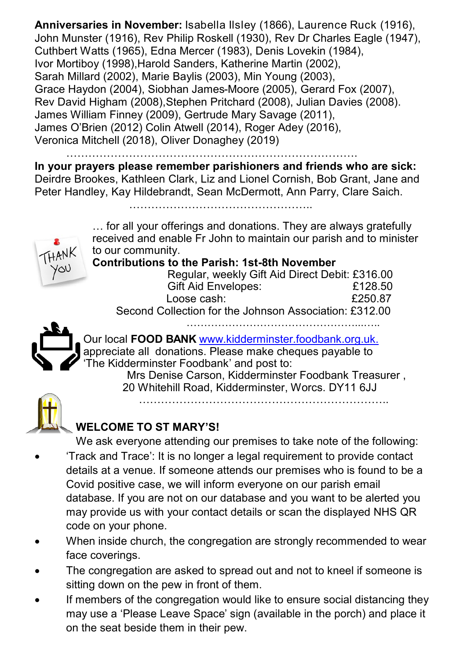**Anniversaries in November:** Isabella Ilsley (1866), Laurence Ruck (1916), John Munster (1916), Rev Philip Roskell (1930), Rev Dr Charles Eagle (1947), Cuthbert Watts (1965), Edna Mercer (1983), Denis Lovekin (1984), Ivor Mortiboy (1998),Harold Sanders, Katherine Martin (2002), Sarah Millard (2002), Marie Baylis (2003), Min Young (2003), Grace Haydon (2004), Siobhan James-Moore (2005), Gerard Fox (2007), Rev David Higham (2008),Stephen Pritchard (2008), Julian Davies (2008). James William Finney (2009), Gertrude Mary Savage (2011), James O'Brien (2012) Colin Atwell (2014), Roger Adey (2016), Veronica Mitchell (2018), Oliver Donaghey (2019)

…………………………………………………………………….

**In your prayers please remember parishioners and friends who are sick:**  Deirdre Brookes, Kathleen Clark, Liz and Lionel Cornish, Bob Grant, Jane and Peter Handley, Kay Hildebrandt, Sean McDermott, Ann Parry, Clare Saich.

…………………………………………..

… for all your offerings and donations. They are always gratefully received and enable Fr John to maintain our parish and to minister to our community.

**Contributions to the Parish: 1st-8th November**

| you | Regular, weekly Gift Aid Direct Debit: £316.00         |         |
|-----|--------------------------------------------------------|---------|
|     | Gift Aid Envelopes:                                    | £128.50 |
|     | Loose cash:                                            | £250.87 |
|     | Second Collection for the Johnson Association: £312.00 |         |

…………………………………………...…..



YQU

Our local **FOOD BANK** www.kidderminster.foodbank.org.uk. appreciate all donations. Please make cheques payable to 'The Kidderminster Foodbank' and post to:

 Mrs Denise Carson, Kidderminster Foodbank Treasurer , 20 Whitehill Road, Kidderminster, Worcs. DY11 6JJ …………………………………………………………..



## **WELCOME TO ST MARY'S!**

We ask everyone attending our premises to take note of the following: 'Track and Trace': It is no longer a legal requirement to provide contact details at a venue. If someone attends our premises who is found to be a Covid positive case, we will inform everyone on our parish email database. If you are not on our database and you want to be alerted you may provide us with your contact details or scan the displayed NHS QR code on your phone.

- When inside church, the congregation are strongly recommended to wear face coverings.
- The congregation are asked to spread out and not to kneel if someone is sitting down on the pew in front of them.
- If members of the congregation would like to ensure social distancing they may use a 'Please Leave Space' sign (available in the porch) and place it on the seat beside them in their pew.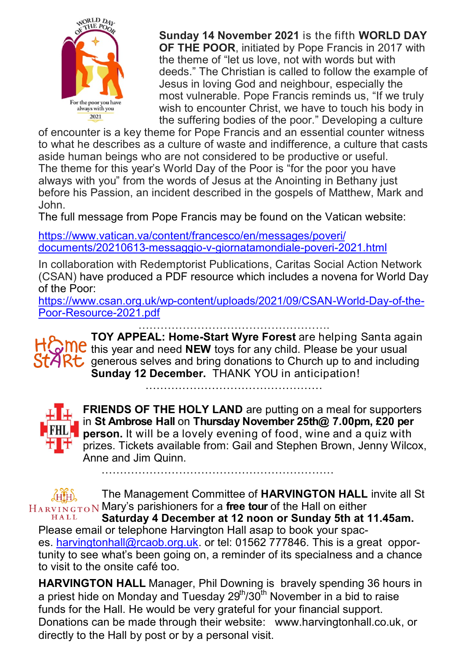

**Sunday 14 November 2021** is the fifth **WORLD DAY OF THE POOR**, initiated by Pope Francis in 2017 with the theme of "let us love, not with words but with deeds." The Christian is called to follow the example of Jesus in loving God and neighbour, especially the most vulnerable. Pope Francis reminds us, "If we truly wish to encounter Christ, we have to touch his body in the suffering bodies of the poor." Developing a culture

of encounter is a key theme for Pope Francis and an essential counter witness to what he describes as a culture of waste and indifference, a culture that casts aside human beings who are not considered to be productive or useful. The theme for this year's World Day of the Poor is "for the poor you have always with you" from the words of Jesus at the Anointing in Bethany just before his Passion, an incident described in the gospels of Matthew, Mark and John.

The full message from Pope Francis may be found on the Vatican website:

[https://www.vatican.va/content/francesco/en/messages/poveri/](https://www.vatican.va/content/francesco/en/messages/poveri/documents/20210613-messaggio-v-giornatamondiale-poveri-2021.html) [documents/20210613](https://www.vatican.va/content/francesco/en/messages/poveri/documents/20210613-messaggio-v-giornatamondiale-poveri-2021.html)-messaggio-v-giornatamondiale-poveri-2021.html

In collaboration with Redemptorist Publications, Caritas Social Action Network (CSAN) have produced a PDF resource which includes a novena for World Day of the Poor:

https://www.csan.org.uk/wp-[content/uploads/2021/09/CSAN](https://www.csan.org.uk/wp-content/uploads/2021/09/CSAN-World-Day-of-the-Poor-Resource-2021.pdf)-World-Day-of-the-Poor-[Resource](https://www.csan.org.uk/wp-content/uploads/2021/09/CSAN-World-Day-of-the-Poor-Resource-2021.pdf)-2021.pdf …………………………………………….

**TOY APPEAL: Home-Start Wyre Forest** are helping Santa again **THE this year and need NEW toys for any child. Please be your usual**  $StARt$  generous selves and bring donations to Church up to and including **Sunday 12 December.** THANK YOU in anticipation!

…………………………………………



**FRIENDS OF THE HOLY LAND** are putting on a meal for supporters in **St Ambrose Hall** on **Thursday November 25th@ 7.00pm, £20 per PHL** person. It will be a lovely evening of food, wine and a quiz with  $\mathbf{F}$  prizes. Tickets available from: Gail and Stephen Brown, Jenny Wilcox, Anne and Jim Quinn. ………………………………………………………

The Management Committee of **HARVINGTON HALL** invite all St THAP T Mary's parishioners for a **free tour** of the Hall on either HALL

**Saturday 4 December at 12 noon or Sunday 5th at 11.45am.**  Please email or telephone Harvington Hall asap to book your spaces. [harvingtonhall@rcaob.org.uk.](mailto:harvingtonhall@rcaob.org.uk) or tel: 01562 777846. This is a great opportunity to see what's been going on, a reminder of its specialness and a chance to visit to the onsite café too.

**HARVINGTON HALL** Manager, Phil Downing is bravely spending 36 hours in a priest hide on Monday and Tuesday 29<sup>th</sup>/30<sup>th</sup> November in a bid to raise funds for the Hall. He would be very grateful for your financial support. Donations can be made through their website: www.harvingtonhall.co.uk, or directly to the Hall by post or by a personal visit.